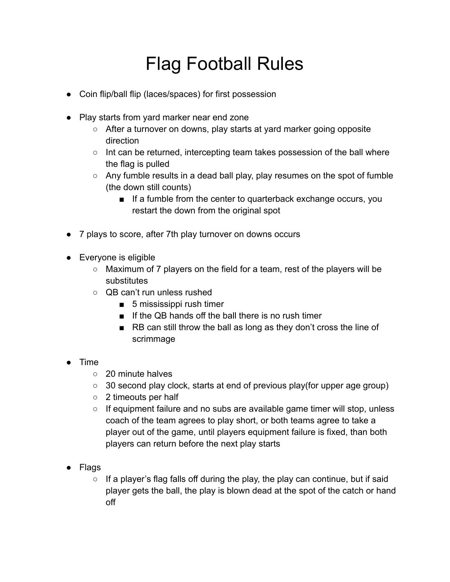## Flag Football Rules

- Coin flip/ball flip (laces/spaces) for first possession
- Play starts from yard marker near end zone
	- After a turnover on downs, play starts at yard marker going opposite direction
	- Int can be returned, intercepting team takes possession of the ball where the flag is pulled
	- $\circ$  Any fumble results in a dead ball play, play resumes on the spot of fumble (the down still counts)
		- If a fumble from the center to quarterback exchange occurs, you restart the down from the original spot
- 7 plays to score, after 7th play turnover on downs occurs
- Everyone is eligible
	- Maximum of 7 players on the field for a team, rest of the players will be substitutes
	- QB can't run unless rushed
		- 5 mississippi rush timer
		- If the QB hands off the ball there is no rush timer
		- RB can still throw the ball as long as they don't cross the line of scrimmage
- Time
	- 20 minute halves
	- 30 second play clock, starts at end of previous play(for upper age group)
	- 2 timeouts per half
	- $\circ$  If equipment failure and no subs are available game timer will stop, unless coach of the team agrees to play short, or both teams agree to take a player out of the game, until players equipment failure is fixed, than both players can return before the next play starts
- Flags
	- $\circ$  If a player's flag falls off during the play, the play can continue, but if said player gets the ball, the play is blown dead at the spot of the catch or hand off